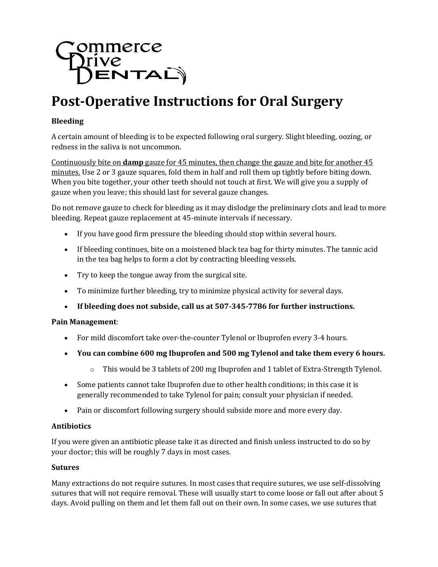

# **Post-Operative Instructions for Oral Surgery**

### **Bleeding**

A certain amount of bleeding is to be expected following oral surgery. Slight bleeding, oozing, or redness in the saliva is not uncommon.

Continuously bite on **damp** gauze for 45 minutes, then change the gauze and bite for another 45 minutes. Use 2 or 3 gauze squares, fold them in half and roll them up tightly before biting down. When you bite together, your other teeth should not touch at first. We will give you a supply of gauze when you leave; this should last for several gauze changes.

Do not remove gauze to check for bleeding as it may dislodge the preliminary clots and lead to more bleeding. Repeat gauze replacement at 45-minute intervals if necessary.

- If you have good firm pressure the bleeding should stop within several hours.
- If bleeding continues, bite on a moistened black tea bag for thirty minutes. The tannic acid in the tea bag helps to form a clot by contracting bleeding vessels.
- Try to keep the tongue away from the surgical site.
- To minimize further bleeding, try to minimize physical activity for several days.
- **If bleeding does not subside, call us at 507-345-7786 for further instructions.**

#### **Pain Management**:

- For mild discomfort take over-the-counter Tylenol or Ibuprofen every 3-4 hours.
- **You can combine 600 mg Ibuprofen and 500 mg Tylenol and take them every 6 hours.**
	- $\circ$  This would be 3 tablets of 200 mg Ibuprofen and 1 tablet of Extra-Strength Tylenol.
- Some patients cannot take Ibuprofen due to other health conditions; in this case it is generally recommended to take Tylenol for pain; consult your physician if needed.
- Pain or discomfort following surgery should subside more and more every day.

#### **Antibiotics**

If you were given an antibiotic please take it as directed and finish unless instructed to do so by your doctor; this will be roughly 7 days in most cases.

#### **Sutures**

Many extractions do not require sutures. In most cases that require sutures, we use self-dissolving sutures that will not require removal. These will usually start to come loose or fall out after about 5 days. Avoid pulling on them and let them fall out on their own. In some cases, we use sutures that